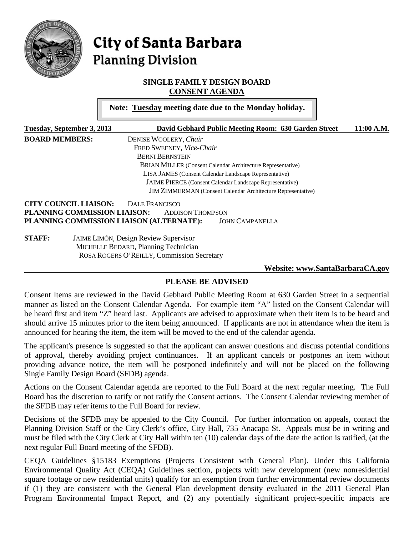

# City of Santa Barbara **Planning Division**

## **SINGLE FAMILY DESIGN BOARD CONSENT AGENDA**

**Note: Tuesday meeting date due to the Monday holiday.**

| Tuesday, September 3, 2013                                      | David Gebhard Public Meeting Room: 630 Garden Street                | 11:00 A.M. |  |
|-----------------------------------------------------------------|---------------------------------------------------------------------|------------|--|
| <b>BOARD MEMBERS:</b>                                           | DENISE WOOLERY, Chair                                               |            |  |
|                                                                 | FRED SWEENEY, Vice-Chair                                            |            |  |
|                                                                 | <b>BERNI BERNSTEIN</b>                                              |            |  |
|                                                                 | BRIAN MILLER (Consent Calendar Architecture Representative)         |            |  |
|                                                                 | LISA JAMES (Consent Calendar Landscape Representative)              |            |  |
| <b>JAIME PIERCE</b> (Consent Calendar Landscape Representative) |                                                                     |            |  |
|                                                                 | <b>JIM ZIMMERMAN</b> (Consent Calendar Architecture Representative) |            |  |
| <b>CITY COUNCIL LIAISON:</b>                                    | DALE FRANCISCO                                                      |            |  |
| PLANNING COMMISSION LIAISON:                                    | <b>ADDISON THOMPSON</b>                                             |            |  |
|                                                                 | PLANNING COMMISSION LIAISON (ALTERNATE):<br><b>JOHN CAMPANELLA</b>  |            |  |
| <b>STAFF:</b>                                                   | <b>JAIME LIMÓN, Design Review Supervisor</b>                        |            |  |
|                                                                 | MICHELLE BEDARD, Planning Technician                                |            |  |
|                                                                 | ROSA ROGERS O'REILLY, Commission Secretary                          |            |  |

#### **Website: [www.SantaBarbaraCA.gov](http://www.santabarbaraca.gov/)**

## **PLEASE BE ADVISED**

Consent Items are reviewed in the David Gebhard Public Meeting Room at 630 Garden Street in a sequential manner as listed on the Consent Calendar Agenda. For example item "A" listed on the Consent Calendar will be heard first and item "Z" heard last. Applicants are advised to approximate when their item is to be heard and should arrive 15 minutes prior to the item being announced. If applicants are not in attendance when the item is announced for hearing the item, the item will be moved to the end of the calendar agenda.

The applicant's presence is suggested so that the applicant can answer questions and discuss potential conditions of approval, thereby avoiding project continuances. If an applicant cancels or postpones an item without providing advance notice, the item will be postponed indefinitely and will not be placed on the following Single Family Design Board (SFDB) agenda.

Actions on the Consent Calendar agenda are reported to the Full Board at the next regular meeting. The Full Board has the discretion to ratify or not ratify the Consent actions. The Consent Calendar reviewing member of the SFDB may refer items to the Full Board for review.

Decisions of the SFDB may be appealed to the City Council. For further information on appeals, contact the Planning Division Staff or the City Clerk's office, City Hall, 735 Anacapa St. Appeals must be in writing and must be filed with the City Clerk at City Hall within ten (10) calendar days of the date the action is ratified, (at the next regular Full Board meeting of the SFDB).

CEQA Guidelines §15183 Exemptions (Projects Consistent with General Plan). Under this California Environmental Quality Act (CEQA) Guidelines section, projects with new development (new nonresidential square footage or new residential units) qualify for an exemption from further environmental review documents if (1) they are consistent with the General Plan development density evaluated in the 2011 General Plan Program Environmental Impact Report, and (2) any potentially significant project-specific impacts are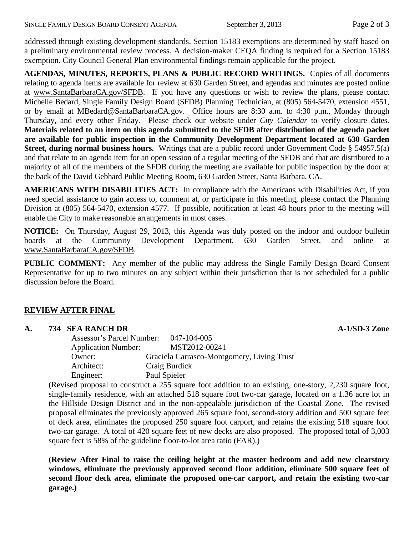addressed through existing development standards. Section 15183 exemptions are determined by staff based on a preliminary environmental review process. A decision-maker CEQA finding is required for a Section 15183 exemption. City Council General Plan environmental findings remain applicable for the project.

**AGENDAS, MINUTES, REPORTS, PLANS & PUBLIC RECORD WRITINGS.** Copies of all documents relating to agenda items are available for review at 630 Garden Street, and agendas and minutes are posted online at [www.SantaBarbaraCA.gov/SFDB.](http://www.santabarbaraca.gov/ABR) If you have any questions or wish to review the plans, please contact Michelle Bedard, Single Family Design Board (SFDB) Planning Technician, at (805) 564-5470, extension 4551, or by email at [MBedard@SantaBarbaraCA.gov.](mailto:MBedard@SantaBarbaraCA.gov) Office hours are 8:30 a.m. to 4:30 p.m., Monday through Thursday, and every other Friday. Please check our website under *City Calendar* to verify closure dates. **Materials related to an item on this agenda submitted to the SFDB after distribution of the agenda packet are available for public inspection in the Community Development Department located at 630 Garden Street, during normal business hours.** Writings that are a public record under Government Code § 54957.5(a) and that relate to an agenda item for an open session of a regular meeting of the SFDB and that are distributed to a majority of all of the members of the SFDB during the meeting are available for public inspection by the door at the back of the David Gebhard Public Meeting Room, 630 Garden Street, Santa Barbara, CA.

**AMERICANS WITH DISABILITIES ACT:** In compliance with the Americans with Disabilities Act, if you need special assistance to gain access to, comment at, or participate in this meeting, please contact the Planning Division at (805) 564-5470, extension 4577. If possible, notification at least 48 hours prior to the meeting will enable the City to make reasonable arrangements in most cases.

**NOTICE:** On Thursday, August 29, 2013, this Agenda was duly posted on the indoor and outdoor bulletin boards at the Community Development Department, 630 Garden Street, and online at [www.SantaBarbaraCA.gov/SFDB.](http://www.santabarbaraca.gov/sfdb)

**PUBLIC COMMENT:** Any member of the public may address the Single Family Design Board Consent Representative for up to two minutes on any subject within their jurisdiction that is not scheduled for a public discussion before the Board.

## **REVIEW AFTER FINAL**

| A. |  | 734 SEA RANCH DR |  |
|----|--|------------------|--|
|    |  |                  |  |

| <b>Assessor's Parcel Number:</b> | 047-104-005                                |
|----------------------------------|--------------------------------------------|
| <b>Application Number:</b>       | MST2012-00241                              |
| Owner:                           | Graciela Carrasco-Montgomery, Living Trust |
| Architect:                       | Craig Burdick                              |
| Engineer:                        | Paul Spieler                               |

(Revised proposal to construct a 255 square foot addition to an existing, one-story, 2,230 square foot, single-family residence, with an attached 518 square foot two-car garage, located on a 1.36 acre lot in the Hillside Design District and in the non-appealable jurisdiction of the Coastal Zone. The revised proposal eliminates the previously approved 265 square foot, second-story addition and 500 square feet of deck area, eliminates the proposed 250 square foot carport, and retains the existing 518 square foot two-car garage. A total of 420 square feet of new decks are also proposed. The proposed total of 3,003 square feet is 58% of the guideline floor-to-lot area ratio (FAR).)

**(Review After Final to raise the ceiling height at the master bedroom and add new clearstory windows, eliminate the previously approved second floor addition, eliminate 500 square feet of second floor deck area, eliminate the proposed one-car carport, and retain the existing two-car garage.)** 

**A. 734 SEA RANCH DR A-1/SD-3 Zone**